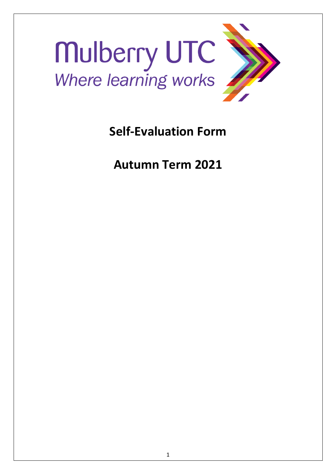

**Self-Evaluation Form**

**Autumn Term 2021**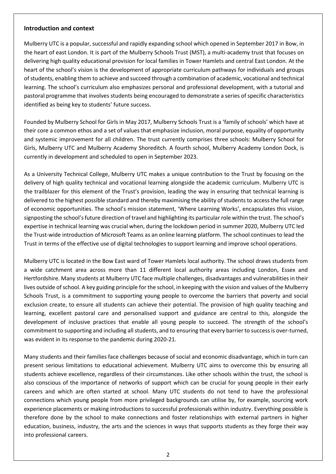## **Introduction and context**

Mulberry UTC is a popular, successful and rapidly expanding school which opened in September 2017 in Bow, in the heart of east London. It is part of the Mulberry Schools Trust (MST), a multi-academy trust that focuses on delivering high quality educational provision for local families in Tower Hamlets and central East London. At the heart of the school's vision is the development of appropriate curriculum pathways for individuals and groups of students, enabling them to achieve and succeed through a combination of academic, vocational and technical learning. The school's curriculum also emphasizes personal and professional development, with a tutorial and pastoral programme that involves students being encouraged to demonstrate a series of specific characteristics identified as being key to students' future success.

Founded by Mulberry School for Girls in May 2017, Mulberry Schools Trust is a 'family of schools' which have at their core a common ethos and a set of values that emphasize inclusion, moral purpose, equality of opportunity and systemic improvement for all children. The trust currently comprises three schools: Mulberry School for Girls, Mulberry UTC and Mulberry Academy Shoreditch. A fourth school, Mulberry Academy London Dock, is currently in development and scheduled to open in September 2023.

As a University Technical College, Mulberry UTC makes a unique contribution to the Trust by focusing on the delivery of high quality technical and vocational learning alongside the academic curriculum. Mulberry UTC is the trailblazer for this element of the Trust's provision, leading the way in ensuring that technical learning is delivered to the highest possible standard and thereby maximising the ability of students to access the full range of economic opportunities. The school's mission statement, 'Where Learning Works', encapsulates this vision, signposting the school's future direction of travel and highlighting its particular role within the trust. The school's expertise in technical learning was crucial when, during the lockdown period in summer 2020, Mulberry UTC led the Trust-wide introduction of Microsoft Teams as an online learning platform. The school continues to lead the Trust in terms of the effective use of digital technologies to support learning and improve school operations.

Mulberry UTC is located in the Bow East ward of Tower Hamlets local authority. The school draws students from a wide catchment area across more than 11 different local authority areas including London, Essex and Hertfordshire. Many students at Mulberry UTC face multiple challenges, disadvantages and vulnerabilities in their lives outside of school. A key guiding principle for the school, in keeping with the vision and values of the Mulberry Schools Trust, is a commitment to supporting young people to overcome the barriers that poverty and social exclusion create, to ensure all students can achieve their potential. The provision of high quality teaching and learning, excellent pastoral care and personalised support and guidance are central to this, alongside the development of inclusive practices that enable all young people to succeed. The strength of the school's commitment to supporting and including all students, and to ensuring that every barrier to success is over-turned, was evident in its response to the pandemic during 2020-21.

Many students and their families face challenges because of social and economic disadvantage, which in turn can present serious limitations to educational achievement. Mulberry UTC aims to overcome this by ensuring all students achieve excellence, regardless of their circumstances. Like other schools within the trust, the school is also conscious of the importance of networks of support which can be crucial for young people in their early careers and which are often started at school. Many UTC students do not tend to have the professional connections which young people from more privileged backgrounds can utilise by, for example, sourcing work experience placements or making introductions to successful professionals within industry. Everything possible is therefore done by the school to make connections and foster relationships with external partners in higher education, business, industry, the arts and the sciences in ways that supports students as they forge their way into professional careers.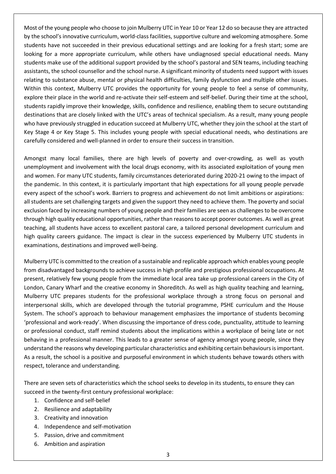Most of the young people who choose to join Mulberry UTC in Year 10 or Year 12 do so because they are attracted by the school's innovative curriculum, world-class facilities, supportive culture and welcoming atmosphere. Some students have not succeeded in their previous educational settings and are looking for a fresh start; some are looking for a more appropriate curriculum, while others have undiagnosed special educational needs. Many students make use of the additional support provided by the school's pastoral and SEN teams, including teaching assistants, the school counsellor and the school nurse. A significant minority of students need support with issues relating to substance abuse, mental or physical health difficulties, family dysfunction and multiple other issues. Within this context, Mulberry UTC provides the opportunity for young people to feel a sense of community, explore their place in the world and re-activate their self-esteem and self-belief. During their time at the school, students rapidly improve their knowledge, skills, confidence and resilience, enabling them to secure outstanding destinations that are closely linked with the UTC's areas of technical specialism. As a result, many young people who have previously struggled in education succeed at Mulberry UTC, whether they join the school at the start of Key Stage 4 or Key Stage 5. This includes young people with special educational needs, who destinations are carefully considered and well-planned in order to ensure their success in transition.

Amongst many local families, there are high levels of poverty and over-crowding, as well as youth unemployment and involvement with the local drugs economy, with its associated exploitation of young men and women. For many UTC students, family circumstances deteriorated during 2020-21 owing to the impact of the pandemic. In this context, it is particularly important that high expectations for all young people pervade every aspect of the school's work. Barriers to progress and achievement do not limit ambitions or aspirations: all students are set challenging targets and given the support they need to achieve them. The poverty and social exclusion faced by increasing numbers of young people and their families are seen as challenges to be overcome through high quality educational opportunities, rather than reasons to accept poorer outcomes. As well as great teaching, all students have access to excellent pastoral care, a tailored personal development curriculum and high quality careers guidance. The impact is clear in the success experienced by Mulberry UTC students in examinations, destinations and improved well-being.

Mulberry UTC is committed to the creation of a sustainable and replicable approach which enables young people from disadvantaged backgrounds to achieve success in high profile and prestigious professional occupations. At present, relatively few young people from the immediate local area take up professional careers in the City of London, Canary Wharf and the creative economy in Shoreditch. As well as high quality teaching and learning, Mulberry UTC prepares students for the professional workplace through a strong focus on personal and interpersonal skills, which are developed through the tutorial programme, PSHE curriculum and the House System. The school's approach to behaviour management emphasizes the importance of students becoming 'professional and work-ready'. When discussing the importance of dress code, punctuality, attitude to learning or professional conduct, staff remind students about the implications within a workplace of being late or not behaving in a professional manner. This leads to a greater sense of agency amongst young people, since they understand the reasons why developing particular characteristics and exhibiting certain behaviours is important. As a result, the school is a positive and purposeful environment in which students behave towards others with respect, tolerance and understanding.

There are seven sets of characteristics which the school seeks to develop in its students, to ensure they can succeed in the twenty-first century professional workplace:

- 1. Confidence and self-belief
- 2. Resilience and adaptability
- 3. Creativity and innovation
- 4. Independence and self-motivation
- 5. Passion, drive and commitment
- 6. Ambition and aspiration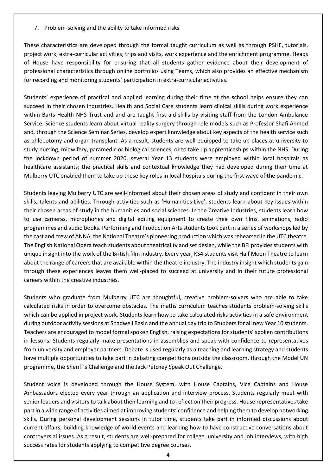7. Problem-solving and the ability to take informed risks

These characteristics are developed through the formal taught curriculum as well as through PSHE, tutorials, project work, extra-curricular activities, trips and visits, work experience and the enrichment programme. Heads of House have responsibility for ensuring that all students gather evidence about their development of professional characteristics through online portfolios using Teams, which also provides an effective mechanism for recording and monitoring students' participation in extra-curricular activities.

Students' experience of practical and applied learning during their time at the school helps ensure they can succeed in their chosen industries. Health and Social Care students learn clinical skills during work experience within Barts Health NHS Trust and and are taught first aid skills by visiting staff from the London Ambulance Service. Science students learn about virtual reality surgery through role models such as Professor Shafi Ahmed and, through the Science Seminar Series, develop expert knowledge about key aspects of the health service such as phlebotomy and organ transplant. As a result, students are well-equipped to take up places at university to study nursing, midwifery, paramedic or biological sciences, or to take up apprenticeships within the NHS. During the lockdown period of summer 2020, several Year 13 students were employed within local hospitals as healthcare assistants; the practical skills and contextual knowledge they had developed during their time at Mulberry UTC enabled them to take up these key roles in local hospitals during the first wave of the pandemic.

Students leaving Mulberry UTC are well-informed about their chosen areas of study and confident in their own skills, talents and abilities. Through activities such as 'Humanities Live', students learn about key issues within their chosen areas of study in the humanities and social sciences. In the Creative Industries, students learn how to use cameras, microphones and digital editing equipment to create their own films, animations, radio programmes and audio books. Performing and Production Arts students took part in a series of workshops led by the cast and crew of ANNA, the National Theatre's pioneering production which was rehearsed in the UTC theatre. The English National Opera teach students about theatricality and set design, while the BFI provides students with unique insight into the work of the British film industry. Every year, KS4 students visit Half Moon Theatre to learn about the range of careers that are available within the theatre industry. The industry insight which students gain through these experiences leaves them well-placed to succeed at university and in their future professional careers within the creative industries.

Students who graduate from Mulberry UTC are thoughtful, creative problem-solvers who are able to take calculated risks in order to overcome obstacles. The maths curriculum teaches students problem-solving skills which can be applied in project work. Students learn how to take calculated risks activities in a safe environment during outdoor activity sessions at Shadwell Basin and the annual day trip to Stubbers for all new Year 10 students. Teachers are encouraged to model formal spoken English, raising expectations for students' spoken contributions in lessons. Students regularly make presentations in assemblies and speak with confidence to representatives from university and employer partners. Debate is used regularly as a teaching and learning strategy and students have multiple opportunities to take part in debating competitions outside the classroom, through the Model UN programme, the Sheriff's Challenge and the Jack Petchey Speak Out Challenge.

Student voice is developed through the House System, with House Captains, Vice Captains and House Ambassadors elected every year through an application and interview process. Students regularly meet with senior leaders and visitors to talk about their learning and to reflect on their progress. House representatives take part in a wide range of activities aimed at improving students' confidence and helping them to develop networking skills. During personal development sessions in tutor time, students take part in informed discussions about current affairs, building knowledge of world events and learning how to have constructive conversations about controversial issues. As a result, students are well-prepared for college, university and job interviews, with high success rates for students applying to competitive degree courses.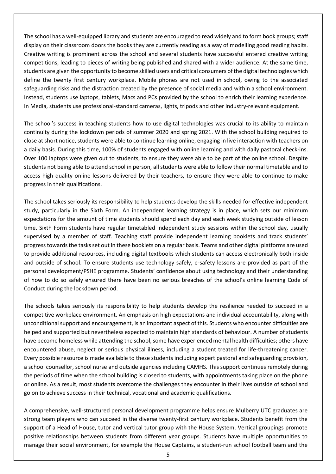The school has a well-equipped library and students are encouraged to read widely and to form book groups; staff display on their classroom doors the books they are currently reading as a way of modelling good reading habits. Creative writing is prominent across the school and several students have successful entered creative writing competitions, leading to pieces of writing being published and shared with a wider audience. At the same time, students are given the opportunity to become skilled users and critical consumers of the digital technologies which define the twenty first century workplace. Mobile phones are not used in school, owing to the associated safeguarding risks and the distraction created by the presence of social media and within a school environment. Instead, students use laptops, tablets, Macs and PCs provided by the school to enrich their learning experience. In Media, students use professional-standard cameras, lights, tripods and other industry-relevant equipment.

The school's success in teaching students how to use digital technologies was crucial to its ability to maintain continuity during the lockdown periods of summer 2020 and spring 2021. With the school building required to close at short notice, students were able to continue learning online, engaging in live interaction with teachers on a daily basis. During this time, 100% of students engaged with online learning and with daily pastoral check-ins. Over 100 laptops were given out to students, to ensure they were able to be part of the online school. Despite students not being able to attend school in person, all students were able to follow their normal timetable and to access high quality online lessons delivered by their teachers, to ensure they were able to continue to make progress in their qualifications.

The school takes seriously its responsibility to help students develop the skills needed for effective independent study, particularly in the Sixth Form. An independent learning strategy is in place, which sets our minimum expectations for the amount of time students should spend each day and each week studying outside of lesson time. Sixth Form students have regular timetabled independent study sessions within the school day, usually supervised by a member of staff. Teaching staff provide independent learning booklets and track students' progress towards the tasks set out in these booklets on a regular basis. Teams and other digital platforms are used to provide additional resources, including digital textbooks which students can access electronically both inside and outside of school. To ensure students use technology safely, e-safety lessons are provided as part of the personal development/PSHE programme. Students' confidence about using technology and their understanding of how to do so safely ensured there have been no serious breaches of the school's online learning Code of Conduct during the lockdown period.

The schools takes seriously its responsibility to help students develop the resilience needed to succeed in a competitive workplace environment. An emphasis on high expectations and individual accountability, along with unconditional support and encouragement, is an important aspect of this. Students who encounter difficulties are helped and supported but nevertheless expected to maintain high standards of behaviour. A number of students have become homeless while attending the school, some have experienced mental health difficulties; others have encountered abuse, neglect or serious physical illness, including a student treated for life-threatening cancer. Every possible resource is made available to these students including expert pastoral and safeguarding provision, a school counsellor, school nurse and outside agencies including CAMHS. This support continues remotely during the periods of time when the school building is closed to students, with appointments taking place on the phone or online. As a result, most students overcome the challenges they encounter in their lives outside of school and go on to achieve success in their technical, vocational and academic qualifications.

A comprehensive, well-structured personal development programme helps ensure Mulberry UTC graduates are strong team players who can succeed in the diverse twenty-first century workplace. Students benefit from the support of a Head of House, tutor and vertical tutor group with the House System. Vertical groupings promote positive relationships between students from different year groups. Students have multiple opportunities to manage their social environment, for example the House Captains, a student-run school football team and the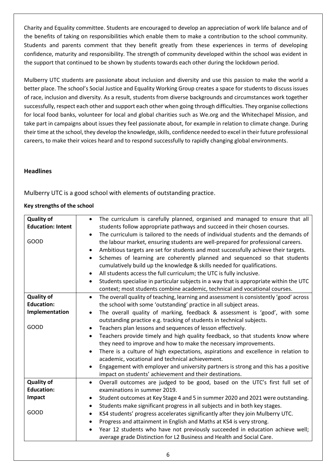Charity and Equality committee. Students are encouraged to develop an appreciation of work life balance and of the benefits of taking on responsibilities which enable them to make a contribution to the school community. Students and parents comment that they benefit greatly from these experiences in terms of developing confidence, maturity and responsibility. The strength of community developed within the school was evident in the support that continued to be shown by students towards each other during the lockdown period.

Mulberry UTC students are passionate about inclusion and diversity and use this passion to make the world a better place. The school's Social Justice and Equality Working Group creates a space for students to discuss issues of race, inclusion and diversity. As a result, students from diverse backgrounds and circumstances work together successfully, respect each other and support each other when going through difficulties. They organise collections for local food banks, volunteer for local and global charities such as We.org and the Whitechapel Mission, and take part in campaigns about issues they feel passionate about, for example in relation to climate change. During their time at the school, they develop the knowledge, skills, confidence needed to excel in their future professional careers, to make their voices heard and to respond successfully to rapidly changing global environments.

### **Headlines**

Mulberry UTC is a good school with elements of outstanding practice.

### **Key strengths of the school**

| <b>Quality of</b><br><b>Education: Intent</b><br>GOOD | The curriculum is carefully planned, organised and managed to ensure that all<br>$\bullet$<br>students follow appropriate pathways and succeed in their chosen courses.<br>The curriculum is tailored to the needs of individual students and the demands of<br>the labour market, ensuring students are well-prepared for professional careers.<br>Ambitious targets are set for students and most successfully achieve their targets.<br>Schemes of learning are coherently planned and sequenced so that students<br>$\bullet$<br>cumulatively build up the knowledge & skills needed for qualifications.<br>All students access the full curriculum; the UTC is fully inclusive.<br>٠<br>Students specialise in particular subjects in a way that is appropriate within the UTC<br>$\bullet$<br>context; most students combine academic, technical and vocational courses. |
|-------------------------------------------------------|--------------------------------------------------------------------------------------------------------------------------------------------------------------------------------------------------------------------------------------------------------------------------------------------------------------------------------------------------------------------------------------------------------------------------------------------------------------------------------------------------------------------------------------------------------------------------------------------------------------------------------------------------------------------------------------------------------------------------------------------------------------------------------------------------------------------------------------------------------------------------------|
|                                                       |                                                                                                                                                                                                                                                                                                                                                                                                                                                                                                                                                                                                                                                                                                                                                                                                                                                                                |
| <b>Quality of</b>                                     | The overall quality of teaching, learning and assessment is consistently 'good' across<br>$\bullet$                                                                                                                                                                                                                                                                                                                                                                                                                                                                                                                                                                                                                                                                                                                                                                            |
| <b>Education:</b>                                     | the school with some 'outstanding' practice in all subject areas.                                                                                                                                                                                                                                                                                                                                                                                                                                                                                                                                                                                                                                                                                                                                                                                                              |
| Implementation                                        | The overall quality of marking, feedback & assessment is 'good', with some<br>$\bullet$<br>outstanding practice e.g. tracking of students in technical subjects.                                                                                                                                                                                                                                                                                                                                                                                                                                                                                                                                                                                                                                                                                                               |
| GOOD                                                  | Teachers plan lessons and sequences of lesson effectively.                                                                                                                                                                                                                                                                                                                                                                                                                                                                                                                                                                                                                                                                                                                                                                                                                     |
|                                                       | Teachers provide timely and high quality feedback, so that students know where<br>$\bullet$<br>they need to improve and how to make the necessary improvements.<br>There is a culture of high expectations, aspirations and excellence in relation to<br>$\bullet$                                                                                                                                                                                                                                                                                                                                                                                                                                                                                                                                                                                                             |
|                                                       | academic, vocational and technical achievement.                                                                                                                                                                                                                                                                                                                                                                                                                                                                                                                                                                                                                                                                                                                                                                                                                                |
|                                                       | Engagement with employer and university partners is strong and this has a positive<br>$\bullet$<br>impact on students' achievement and their destinations.                                                                                                                                                                                                                                                                                                                                                                                                                                                                                                                                                                                                                                                                                                                     |
| <b>Quality of</b>                                     | Overall outcomes are judged to be good, based on the UTC's first full set of<br>$\bullet$                                                                                                                                                                                                                                                                                                                                                                                                                                                                                                                                                                                                                                                                                                                                                                                      |
| <b>Education:</b>                                     | examinations in summer 2019.                                                                                                                                                                                                                                                                                                                                                                                                                                                                                                                                                                                                                                                                                                                                                                                                                                                   |
| Impact                                                | Student outcomes at Key Stage 4 and 5 in summer 2020 and 2021 were outstanding.                                                                                                                                                                                                                                                                                                                                                                                                                                                                                                                                                                                                                                                                                                                                                                                                |
|                                                       | Students make significant progress in all subjects and in both key stages.<br>$\bullet$                                                                                                                                                                                                                                                                                                                                                                                                                                                                                                                                                                                                                                                                                                                                                                                        |
| GOOD                                                  | KS4 students' progress accelerates significantly after they join Mulberry UTC.<br>Progress and attainment in English and Maths at KS4 is very strong.<br>٠                                                                                                                                                                                                                                                                                                                                                                                                                                                                                                                                                                                                                                                                                                                     |
|                                                       | Year 12 students who have not previously succeeded in education achieve well;<br>average grade Distinction for L2 Business and Health and Social Care.                                                                                                                                                                                                                                                                                                                                                                                                                                                                                                                                                                                                                                                                                                                         |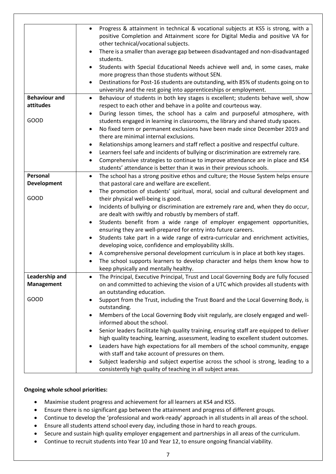|                      | Progress & attainment in technical & vocational subjects at KS5 is strong, with a<br>positive Completion and Attainment score for Digital Media and positive VA for<br>other technical/vocational subjects. |
|----------------------|-------------------------------------------------------------------------------------------------------------------------------------------------------------------------------------------------------------|
|                      | There is a smaller than average gap between disadvantaged and non-disadvantaged<br>$\bullet$<br>students.                                                                                                   |
|                      | Students with Special Educational Needs achieve well and, in some cases, make<br>$\bullet$<br>more progress than those students without SEN.                                                                |
|                      | Destinations for Post-16 students are outstanding, with 85% of students going on to<br>$\bullet$<br>university and the rest going into apprenticeships or employment.                                       |
| <b>Behaviour and</b> | Behaviour of students in both key stages is excellent; students behave well, show<br>$\bullet$                                                                                                              |
| attitudes            | respect to each other and behave in a polite and courteous way.                                                                                                                                             |
|                      | During lesson times, the school has a calm and purposeful atmosphere, with<br>$\bullet$                                                                                                                     |
| <b>GOOD</b>          | students engaged in learning in classrooms, the library and shared study spaces.                                                                                                                            |
|                      | No fixed term or permanent exclusions have been made since December 2019 and<br>$\bullet$                                                                                                                   |
|                      | there are minimal internal exclusions.                                                                                                                                                                      |
|                      | Relationships among learners and staff reflect a positive and respectful culture.<br>$\bullet$                                                                                                              |
|                      | Learners feel safe and incidents of bullying or discrimination are extremely rare.<br>$\bullet$                                                                                                             |
|                      | Comprehensive strategies to continue to improve attendance are in place and KS4<br>$\bullet$                                                                                                                |
|                      | students' attendance is better than it was in their previous schools.                                                                                                                                       |
| Personal             | The school has a strong positive ethos and culture; the House System helps ensure<br>$\bullet$                                                                                                              |
| <b>Development</b>   | that pastoral care and welfare are excellent.                                                                                                                                                               |
|                      | The promotion of students' spiritual, moral, social and cultural development and<br>٠                                                                                                                       |
| <b>GOOD</b>          | their physical well-being is good.                                                                                                                                                                          |
|                      | Incidents of bullying or discrimination are extremely rare and, when they do occur,                                                                                                                         |
|                      | are dealt with swiftly and robustly by members of staff.                                                                                                                                                    |
|                      | Students benefit from a wide range of employer engagement opportunities,<br>$\bullet$                                                                                                                       |
|                      | ensuring they are well-prepared for entry into future careers.                                                                                                                                              |
|                      | Students take part in a wide range of extra-curricular and enrichment activities,<br>developing voice, confidence and employability skills.                                                                 |
|                      | A comprehensive personal development curriculum is in place at both key stages.                                                                                                                             |
|                      | The school supports learners to develop character and helps them know how to                                                                                                                                |
|                      | keep physically and mentally healthy.                                                                                                                                                                       |
| Leadership and       | The Principal, Executive Principal, Trust and Local Governing Body are fully focused<br>$\bullet$                                                                                                           |
| <b>Management</b>    | on and committed to achieving the vision of a UTC which provides all students with                                                                                                                          |
|                      | an outstanding education.                                                                                                                                                                                   |
| GOOD                 | Support from the Trust, including the Trust Board and the Local Governing Body, is<br>$\bullet$                                                                                                             |
|                      | outstanding.                                                                                                                                                                                                |
|                      | Members of the Local Governing Body visit regularly, are closely engaged and well-<br>٠                                                                                                                     |
|                      | informed about the school.                                                                                                                                                                                  |
|                      | Senior leaders facilitate high quality training, ensuring staff are equipped to deliver<br>$\bullet$                                                                                                        |
|                      | high quality teaching, learning, assessment, leading to excellent student outcomes.                                                                                                                         |
|                      | Leaders have high expectations for all members of the school community, engage<br>$\bullet$                                                                                                                 |
|                      | with staff and take account of pressures on them.                                                                                                                                                           |
|                      | Subject leadership and subject expertise across the school is strong, leading to a<br>$\bullet$                                                                                                             |
|                      | consistently high quality of teaching in all subject areas.                                                                                                                                                 |

### **Ongoing whole school priorities:**

- Maximise student progress and achievement for all learners at KS4 and KS5.
- Ensure there is no significant gap between the attainment and progress of different groups.
- Continue to develop the 'professional and work-ready' approach in all students in all areas of the school.
- Ensure all students attend school every day, including those in hard to reach groups.
- Secure and sustain high quality employer engagement and partnerships in all areas of the curriculum.
- Continue to recruit students into Year 10 and Year 12, to ensure ongoing financial viability.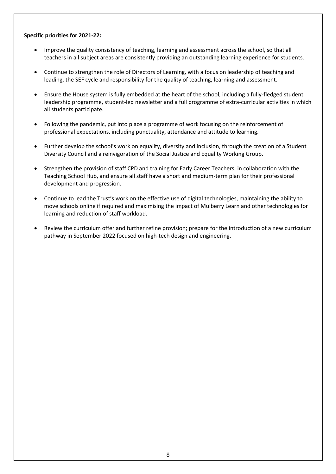### **Specific priorities for 2021-22:**

- Improve the quality consistency of teaching, learning and assessment across the school, so that all teachers in all subject areas are consistently providing an outstanding learning experience for students.
- Continue to strengthen the role of Directors of Learning, with a focus on leadership of teaching and leading, the SEF cycle and responsibility for the quality of teaching, learning and assessment.
- Ensure the House system is fully embedded at the heart of the school, including a fully-fledged student leadership programme, student-led newsletter and a full programme of extra-curricular activities in which all students participate.
- Following the pandemic, put into place a programme of work focusing on the reinforcement of professional expectations, including punctuality, attendance and attitude to learning.
- Further develop the school's work on equality, diversity and inclusion, through the creation of a Student Diversity Council and a reinvigoration of the Social Justice and Equality Working Group.
- Strengthen the provision of staff CPD and training for Early Career Teachers, in collaboration with the Teaching School Hub, and ensure all staff have a short and medium-term plan for their professional development and progression.
- Continue to lead the Trust's work on the effective use of digital technologies, maintaining the ability to move schools online if required and maximising the impact of Mulberry Learn and other technologies for learning and reduction of staff workload.
- Review the curriculum offer and further refine provision; prepare for the introduction of a new curriculum pathway in September 2022 focused on high-tech design and engineering.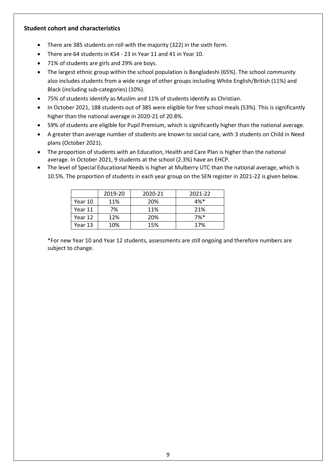# **Student cohort and characteristics**

- There are 385 students on roll with the majority (322) in the sixth form.
- There are 64 students in KS4 23 in Year 11 and 41 in Year 10.
- 71% of students are girls and 29% are boys.
- The largest ethnic group within the school population is Bangladeshi (65%). The school community also includes students from a wide range of other groups including White English/British (11%) and Black (including sub-categories) (10%).
- 75% of students identify as Muslim and 11% of students identify as Christian.
- In October 2021, 188 students out of 385 were eligible for free school meals (53%). This is significantly higher than the national average in 2020-21 of 20.8%.
- 59% of students are eligible for Pupil Premium, which is significantly higher than the national average.
- A greater than average number of students are known to social care, with 3 students on Child in Need plans (October 2021).
- The proportion of students with an Education, Health and Care Plan is higher than the national average. In October 2021, 9 students at the school (2.3%) have an EHCP.
- The level of Special Educational Needs is higher at Mulberry UTC than the national average, which is 10.5%. The proportion of students in each year group on the SEN register in 2021-22 is given below.

|         | 2019-20 | 2020-21 | 2021-22 |
|---------|---------|---------|---------|
| Year 10 | 11%     | 20%     | $4%$ *  |
| Year 11 | 7%      | 11%     | 21%     |
| Year 12 | 12%     | 20%     | $7%$ *  |
| Year 13 | 10%     | 15%     | 17%     |

\*For new Year 10 and Year 12 students, assessments are still ongoing and therefore numbers are subject to change.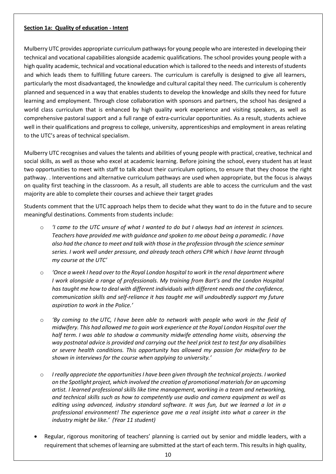### **Section 1a: Quality of education - Intent**

Mulberry UTC provides appropriate curriculum pathways for young people who are interested in developing their technical and vocational capabilities alongside academic qualifications. The school provides young people with a high quality academic, technical and vocational education which is tailored to the needs and interests of students and which leads them to fulfilling future careers. The curriculum is carefully is designed to give all learners, particularly the most disadvantaged, the knowledge and cultural capital they need. The curriculum is coherently planned and sequenced in a way that enables students to develop the knowledge and skills they need for future learning and employment. Through close collaboration with sponsors and partners, the school has designed a world class curriculum that is enhanced by high quality work experience and visiting speakers, as well as comprehensive pastoral support and a full range of extra-curricular opportunities. As a result, students achieve well in their qualifications and progress to college, university, apprenticeships and employment in areas relating to the UTC's areas of technical specialism.

Mulberry UTC recognises and values the talents and abilities of young people with practical, creative, technical and social skills, as well as those who excel at academic learning. Before joining the school, every student has at least two opportunities to meet with staff to talk about their curriculum options, to ensure that they choose the right pathway. . Interventions and alternative curriculum pathways are used when appropriate, but the focus is always on quality first teaching in the classroom. As a result, all students are able to access the curriculum and the vast majority are able to complete their courses and achieve their target grades

Students comment that the UTC approach helps them to decide what they want to do in the future and to secure meaningful destinations. Comments from students include:

- o *'I came to the UTC unsure of what I wanted to do but I always had an interest in sciences. Teachers have provided me with guidance and spoken to me about being a paramedic. I have also had the chance to meet and talk with those in the profession through the science seminar series. I work well under pressure, and already teach others CPR which I have learnt through my course at the UTC'*
- o *'Once a week I head over to the Royal London hospital to work in the renal department where I* work alongside a range of professionals. My training from Bart's and the London Hospital *has taught me how to deal with different individuals with different needs and the confidence, communication skills and self-reliance it has taught me will undoubtedly support my future aspiration to work in the Police.'*
- o *'By coming to the UTC, I have been able to network with people who work in the field of midwifery. This had allowed me to gain work experience at the Royal London Hospital over the half term. I was able to shadow a community midwife attending home visits, observing the way postnatal advice is provided and carrying out the heel prick test to test for any disabilities or severe health conditions. This opportunity has allowed my passion for midwifery to be shown in interviews for the course when applying to university.'*
- o *I really appreciate the opportunities I have been given through the technical projects. I worked on the Spotlight project, which involved the creation of promotional materials for an upcoming artist. I learned professional skills like time management, working in a team and networking, and technical skills such as how to competently use audio and camera equipment as well as editing using advanced, industry standard software. It was fun, but we learned a lot in a professional environment! The experience gave me a real insight into what a career in the industry might be like.' (Year 11 student)*
- Regular, rigorous monitoring of teachers' planning is carried out by senior and middle leaders, with a requirement that schemes of learning are submitted at the start of each term. This results in high quality,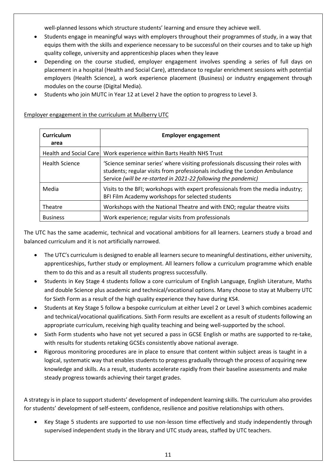well-planned lessons which structure students' learning and ensure they achieve well.

- Students engage in meaningful ways with employers throughout their programmes of study, in a way that equips them with the skills and experience necessary to be successful on their courses and to take up high quality college, university and apprenticeship places when they leave
- Depending on the course studied, employer engagement involves spending a series of full days on placement in a hospital (Health and Social Care), attendance to regular enrichment sessions with potential employers (Health Science), a work experience placement (Business) or industry engagement through modules on the course (Digital Media).
- Students who join MUTC in Year 12 at Level 2 have the option to progress to Level 3.

| <b>Curriculum</b><br>area     | <b>Employer engagement</b>                                                                                                                                                                                                        |
|-------------------------------|-----------------------------------------------------------------------------------------------------------------------------------------------------------------------------------------------------------------------------------|
| <b>Health and Social Care</b> | Work experience within Barts Health NHS Trust                                                                                                                                                                                     |
| <b>Health Science</b>         | 'Science seminar series' where visiting professionals discussing their roles with<br>students; regular visits from professionals including the London Ambulance<br>Service (will be re-started in 2021-22 following the pandemic) |
| Media                         | Visits to the BFI; workshops with expert professionals from the media industry;<br>BFI Film Academy workshops for selected students                                                                                               |
| Theatre                       | Workshops with the National Theatre and with ENO; regular theatre visits                                                                                                                                                          |
| <b>Business</b>               | Work experience; regular visits from professionals                                                                                                                                                                                |

### Employer engagement in the curriculum at Mulberry UTC

The UTC has the same academic, technical and vocational ambitions for all learners. Learners study a broad and balanced curriculum and it is not artificially narrowed.

- The UTC's curriculum is designed to enable all learners secure to meaningful destinations, either university, apprenticeships, further study or employment. All learners follow a curriculum programme which enable them to do this and as a result all students progress successfully.
- Students in Key Stage 4 students follow a core curriculum of English Language, English Literature, Maths and double Science plus academic and technical/vocational options. Many choose to stay at Mulberry UTC for Sixth Form as a result of the high quality experience they have during KS4.
- Students at Key Stage 5 follow a bespoke curriculum at either Level 2 or Level 3 which combines academic and technical/vocational qualifications. Sixth Form results are excellent as a result of students following an appropriate curriculum, receiving high quality teaching and being well-supported by the school.
- Sixth Form students who have not yet secured a pass in GCSE English or maths are supported to re-take, with results for students retaking GCSEs consistently above national average.
- Rigorous monitoring procedures are in place to ensure that content within subject areas is taught in a logical, systematic way that enables students to progress gradually through the process of acquiring new knowledge and skills. As a result, students accelerate rapidly from their baseline assessments and make steady progress towards achieving their target grades.

A strategy is in place to support students' development of independent learning skills. The curriculum also provides for students' development of self-esteem, confidence, resilience and positive relationships with others.

 Key Stage 5 students are supported to use non-lesson time effectively and study independently through supervised independent study in the library and UTC study areas, staffed by UTC teachers.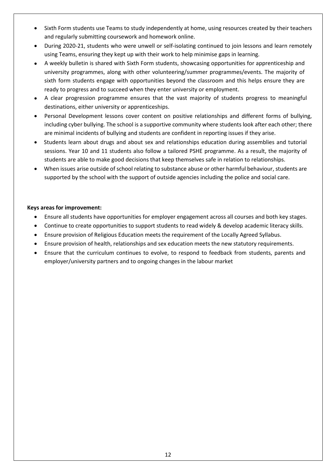- Sixth Form students use Teams to study independently at home, using resources created by their teachers and regularly submitting coursework and homework online.
- During 2020-21, students who were unwell or self-isolating continued to join lessons and learn remotely using Teams, ensuring they kept up with their work to help minimise gaps in learning.
- A weekly bulletin is shared with Sixth Form students, showcasing opportunities for apprenticeship and university programmes, along with other volunteering/summer programmes/events. The majority of sixth form students engage with opportunities beyond the classroom and this helps ensure they are ready to progress and to succeed when they enter university or employment.
- A clear progression programme ensures that the vast majority of students progress to meaningful destinations, either university or apprenticeships.
- Personal Development lessons cover content on positive relationships and different forms of bullying, including cyber bullying. The school is a supportive community where students look after each other; there are minimal incidents of bullying and students are confident in reporting issues if they arise.
- Students learn about drugs and about sex and relationships education during assemblies and tutorial sessions. Year 10 and 11 students also follow a tailored PSHE programme. As a result, the majority of students are able to make good decisions that keep themselves safe in relation to relationships.
- When issues arise outside of school relating to substance abuse or other harmful behaviour, students are supported by the school with the support of outside agencies including the police and social care.

### **Keys areas for improvement:**

- Ensure all students have opportunities for employer engagement across all courses and both key stages.
- Continue to create opportunities to support students to read widely & develop academic literacy skills.
- Ensure provision of Religious Education meets the requirement of the Locally Agreed Syllabus.
- Ensure provision of health, relationships and sex education meets the new statutory requirements.
- Ensure that the curriculum continues to evolve, to respond to feedback from students, parents and employer/university partners and to ongoing changes in the labour market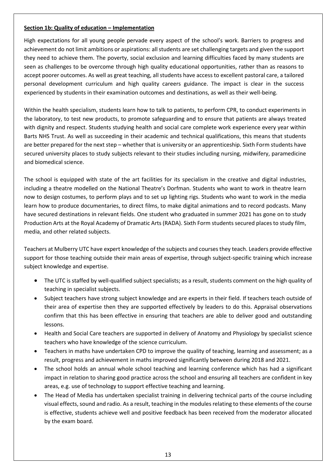## **Section 1b: Quality of education – Implementation**

High expectations for all young people pervade every aspect of the school's work. Barriers to progress and achievement do not limit ambitions or aspirations: all students are set challenging targets and given the support they need to achieve them. The poverty, social exclusion and learning difficulties faced by many students are seen as challenges to be overcome through high quality educational opportunities, rather than as reasons to accept poorer outcomes. As well as great teaching, all students have access to excellent pastoral care, a tailored personal development curriculum and high quality careers guidance. The impact is clear in the success experienced by students in their examination outcomes and destinations, as well as their well-being.

Within the health specialism, students learn how to talk to patients, to perform CPR, to conduct experiments in the laboratory, to test new products, to promote safeguarding and to ensure that patients are always treated with dignity and respect. Students studying health and social care complete work experience every year within Barts NHS Trust. As well as succeeding in their academic and technical qualifications, this means that students are better prepared for the next step – whether that is university or an apprenticeship. Sixth Form students have secured university places to study subjects relevant to their studies including nursing, midwifery, paramedicine and biomedical science.

The school is equipped with state of the art facilities for its specialism in the creative and digital industries, including a theatre modelled on the National Theatre's Dorfman. Students who want to work in theatre learn now to design costumes, to perform plays and to set up lighting rigs. Students who want to work in the media learn how to produce documentaries, to direct films, to make digital animations and to record podcasts. Many have secured destinations in relevant fields. One student who graduated in summer 2021 has gone on to study Production Arts at the Royal Academy of Dramatic Arts (RADA). Sixth Form students secured places to study film, media, and other related subjects.

Teachers at Mulberry UTC have expert knowledge of the subjects and courses they teach. Leaders provide effective support for those teaching outside their main areas of expertise, through subject-specific training which increase subject knowledge and expertise.

- The UTC is staffed by well-qualified subject specialists; as a result, students comment on the high quality of teaching in specialist subjects.
- Subject teachers have strong subject knowledge and are experts in their field. If teachers teach outside of their area of expertise then they are supported effectively by leaders to do this. Appraisal observations confirm that this has been effective in ensuring that teachers are able to deliver good and outstanding lessons.
- Health and Social Care teachers are supported in delivery of Anatomy and Physiology by specialist science teachers who have knowledge of the science curriculum.
- Teachers in maths have undertaken CPD to improve the quality of teaching, learning and assessment; as a result, progress and achievement in maths improved significantly between during 2018 and 2021.
- The school holds an annual whole school teaching and learning conference which has had a significant impact in relation to sharing good practice across the school and ensuring all teachers are confident in key areas, e.g. use of technology to support effective teaching and learning.
- The Head of Media has undertaken specialist training in delivering technical parts of the course including visual effects, sound and radio. As a result, teaching in the modules relating to these elements of the course is effective, students achieve well and positive feedback has been received from the moderator allocated by the exam board.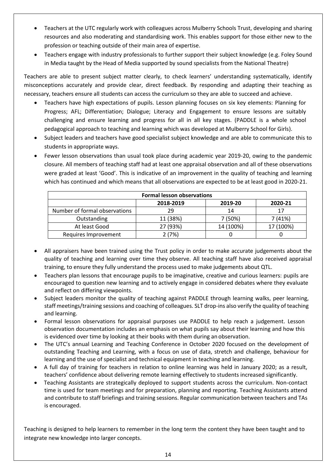- Teachers at the UTC regularly work with colleagues across Mulberry Schools Trust, developing and sharing resources and also moderating and standardising work. This enables support for those either new to the profession or teaching outside of their main area of expertise.
- Teachers engage with industry professionals to further support their subject knowledge (e.g. Foley Sound in Media taught by the Head of Media supported by sound specialists from the National Theatre)

Teachers are able to present subject matter clearly, to check learners' understanding systematically, identify misconceptions accurately and provide clear, direct feedback. By responding and adapting their teaching as necessary, teachers ensure all students can access the curriculum so they are able to succeed and achieve.

- Teachers have high expectations of pupils. Lesson planning focuses on six key elements: Planning for Progress; AFL; Differentiation; Dialogue; Literacy and Engagement to ensure lessons are suitably challenging and ensure learning and progress for all in all key stages. (PADDLE is a whole school pedagogical approach to teaching and learning which was developed at Mulberry School for Girls).
- Subject leaders and teachers have good specialist subject knowledge and are able to communicate this to students in appropriate ways.
- Fewer lesson observations than usual took place during academic year 2019-20, owing to the pandemic closure. All members of teaching staff had at least one appraisal observation and all of these observations were graded at least 'Good'. This is indicative of an improvement in the quality of teaching and learning which has continued and which means that all observations are expected to be at least good in 2020-21.

| <b>Formal lesson observations</b> |           |           |           |
|-----------------------------------|-----------|-----------|-----------|
|                                   | 2018-2019 | 2019-20   | 2020-21   |
| Number of formal observations     | 29        | 14        | 17        |
| Outstanding                       | 11 (38%)  | 7 (50%)   | 7(41%)    |
| At least Good                     | 27 (93%)  | 14 (100%) | 17 (100%) |
| Requires Improvement              | 2(7%)     |           |           |

- All appraisers have been trained using the Trust policy in order to make accurate judgements about the quality of teaching and learning over time they observe. All teaching staff have also received appraisal training, to ensure they fully understand the process used to make judgements about QTL.
- Teachers plan lessons that encourage pupils to be imaginative, creative and curious learners: pupils are encouraged to question new learning and to actively engage in considered debates where they evaluate and reflect on differing viewpoints.
- Subject leaders monitor the quality of teaching against PADDLE through learning walks, peer learning, staff meetings/training sessions and coaching of colleagues. SLT drop-ins also verify the quality of teaching and learning.
- Formal lesson observations for appraisal purposes use PADDLE to help reach a judgement. Lesson observation documentation includes an emphasis on what pupils say about their learning and how this is evidenced over time by looking at their books with them during an observation.
- The UTC's annual Learning and Teaching Conference in October 2020 focused on the development of outstanding Teaching and Learning, with a focus on use of data, stretch and challenge, behaviour for learning and the use of specialist and technical equipment in teaching and learning.
- A full day of training for teachers in relation to online learning was held in January 2020; as a result, teachers' confidence about delivering remote learning effectively to students increased significantly.
- Teaching Assistants are strategically deployed to support students across the curriculum. Non-contact time is used for team meetings and for preparation, planning and reporting. Teaching Assistants attend and contribute to staff briefings and training sessions. Regular communication between teachers and TAs is encouraged.

Teaching is designed to help learners to remember in the long term the content they have been taught and to integrate new knowledge into larger concepts.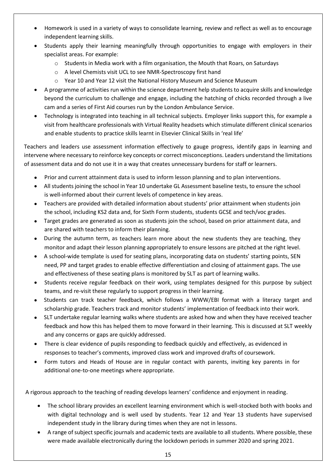- Homework is used in a variety of ways to consolidate learning, review and reflect as well as to encourage independent learning skills.
- Students apply their learning meaningfully through opportunities to engage with employers in their specialist areas. For example:
	- o Students in Media work with a film organisation, the Mouth that Roars, on Saturdays
	- o A level Chemists visit UCL to see NMR-Spectroscopy first hand
	- o Year 10 and Year 12 visit the National History Museum and Science Museum
- A programme of activities run within the science department help students to acquire skills and knowledge beyond the curriculum to challenge and engage, including the hatching of chicks recorded through a live cam and a series of First Aid courses run by the London Ambulance Service.
- Technology is integrated into teaching in all technical subjects. Employer links support this, for example a visit from healthcare professionals with Virtual Reality headsets which stimulate different clinical scenarios and enable students to practice skills learnt in Elsevier Clinical Skills in 'real life'

Teachers and leaders use assessment information effectively to gauge progress, identify gaps in learning and intervene where necessary to reinforce key concepts or correct misconceptions. Leaders understand the limitations of assessment data and do not use it in a way that creates unnecessary burdens for staff or learners.

- Prior and current attainment data is used to inform lesson planning and to plan interventions.
- All students joining the school in Year 10 undertake GL Assessment baseline tests, to ensure the school is well-informed about their current levels of competence in key areas.
- Teachers are provided with detailed information about students' prior attainment when students join the school, including KS2 data and, for Sixth Form students, students GCSE and tech/voc grades.
- Target grades are generated as soon as students join the school, based on prior attainment data, and are shared with teachers to inform their planning.
- During the autumn term, as teachers learn more about the new students they are teaching, they monitor and adapt their lesson planning appropriately to ensure lessons are pitched at the right level.
- A school-wide template is used for seating plans, incorporating data on students' starting points, SEN need, PP and target grades to enable effective differentiation and closing of attainment gaps. The use and effectiveness of these seating plans is monitored by SLT as part of learning walks.
- Students receive regular feedback on their work, using templates designed for this purpose by subject teams, and re-visit these regularly to support progress in their learning.
- Students can track teacher feedback, which follows a WWW/EBI format with a literacy target and scholarship grade. Teachers track and monitor students' implementation of feedback into their work.
- SLT undertake regular learning walks where students are asked how and when they have received teacher feedback and how this has helped them to move forward in their learning. This is discussed at SLT weekly and any concerns or gaps are quickly addressed.
- There is clear evidence of pupils responding to feedback quickly and effectively, as evidenced in responses to teacher's comments, improved class work and improved drafts of coursework.
- Form tutors and Heads of House are in regular contact with parents, inviting key parents in for additional one-to-one meetings where appropriate.

A rigorous approach to the teaching of reading develops learners' confidence and enjoyment in reading.

- The school library provides an excellent learning environment which is well-stocked both with books and with digital technology and is well used by students. Year 12 and Year 13 students have supervised independent study in the library during times when they are not in lessons.
- A range of subject specific journals and academic texts are available to all students. Where possible, these were made available electronically during the lockdown periods in summer 2020 and spring 2021.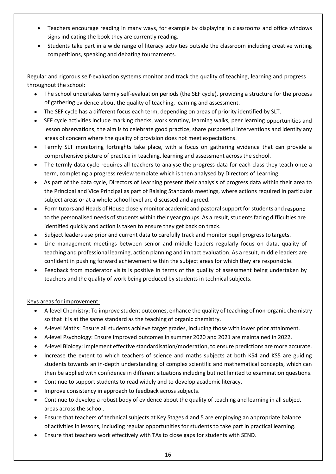- Teachers encourage reading in many ways, for example by displaying in classrooms and office windows signs indicating the book they are currently reading.
- Students take part in a wide range of literacy activities outside the classroom including creative writing competitions, speaking and debating tournaments.

Regular and rigorous self-evaluation systems monitor and track the quality of teaching, learning and progress throughout the school:

- The school undertakes termly self-evaluation periods (the SEF cycle), providing a structure for the process of gathering evidence about the quality of teaching, learning and assessment.
- The SEF cycle has a different focus each term, depending on areas of priority identified by SLT.
- SEF cycle activities include marking checks, work scrutiny, learning walks, peer learning opportunities and lesson observations; the aim is to celebrate good practice, share purposeful interventions and identify any areas of concern where the quality of provision does not meet expectations.
- Termly SLT monitoring fortnights take place, with a focus on gathering evidence that can provide a comprehensive picture of practice in teaching, learning and assessment across the school.
- The termly data cycle requires all teachers to analyse the progress data for each class they teach once a term, completing a progress review template which is then analysed by Directors of Learning.
- As part of the data cycle, Directors of Learning present their analysis of progress data within their area to the Principal and Vice Principal as part of Raising Standards meetings, where actions required in particular subject areas or at a whole school level are discussed and agreed.
- Form tutors and Heads of House closely monitor academic and pastoral support for students and respond to the personalised needs of students within their year groups. As a result, students facing difficulties are identified quickly and action is taken to ensure they get back on track.
- Subject leaders use prior and current data to carefully track and monitor pupil progress to targets.
- Line management meetings between senior and middle leaders regularly focus on data, quality of teaching and professional learning, action planning and impact evaluation. As a result, middle leaders are confident in pushing forward achievement within the subject areas for which they are responsible.
- Feedback from moderator visits is positive in terms of the quality of assessment being undertaken by teachers and the quality of work being produced by students in technical subjects.

Keys areas for improvement:

- A-level Chemistry: To improve student outcomes, enhance the quality of teaching of non-organic chemistry so that it is at the same standard as the teaching of organic chemistry.
- A-level Maths: Ensure all students achieve target grades, including those with lower prior attainment.
- A-level Psychology: Ensure improved outcomes in summer 2020 and 2021 are maintained in 2022.
- A-level Biology: Implement effective standardisation/moderation, to ensure predictions are more accurate.
- Increase the extent to which teachers of science and maths subjects at both KS4 and KS5 are guiding students towards an in-depth understanding of complex scientific and mathematical concepts, which can then be applied with confidence in different situations including but not limited to examination questions.
- Continue to support students to read widely and to develop academic literacy.
- Improve consistency in approach to feedback across subjects.
- Continue to develop a robust body of evidence about the quality of teaching and learning in all subject areas across the school.
- Ensure that teachers of technical subjects at Key Stages 4 and 5 are employing an appropriate balance of activities in lessons, including regular opportunities for students to take part in practical learning.
- Ensure that teachers work effectively with TAs to close gaps for students with SEND.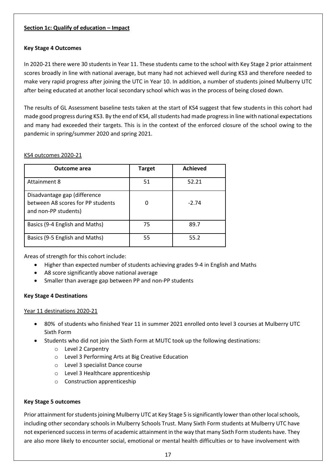## **Section 1c: Qualify of education – Impact**

### **Key Stage 4 Outcomes**

In 2020-21 there were 30 students in Year 11. These students came to the school with Key Stage 2 prior attainment scores broadly in line with national average, but many had not achieved well during KS3 and therefore needed to make very rapid progress after joining the UTC in Year 10. In addition, a number of students joined Mulberry UTC after being educated at another local secondary school which was in the process of being closed down.

The results of GL Assessment baseline tests taken at the start of KS4 suggest that few students in this cohort had made good progress during KS3. By the end of KS4, all students had made progress in line with national expectations and many had exceeded their targets. This is in the context of the enforced closure of the school owing to the pandemic in spring/summer 2020 and spring 2021.

### KS4 outcomes 2020-21

| <b>Outcome area</b>                                                                       | Target | <b>Achieved</b> |
|-------------------------------------------------------------------------------------------|--------|-----------------|
| Attainment 8                                                                              | 51     | 52.21           |
| Disadvantage gap (difference<br>between A8 scores for PP students<br>and non-PP students) |        | $-2.74$         |
| Basics (9-4 English and Maths)                                                            | 75     | 89.7            |
| Basics (9-5 English and Maths)                                                            | 55     | 55.2            |

Areas of strength for this cohort include:

- Higher than expected number of students achieving grades 9-4 in English and Maths
- A8 score significantly above national average
- Smaller than average gap between PP and non-PP students

### **Key Stage 4 Destinations**

### Year 11 destinations 2020-21

- 80% of students who finished Year 11 in summer 2021 enrolled onto level 3 courses at Mulberry UTC Sixth Form
- Students who did not join the Sixth Form at MUTC took up the following destinations:
	- o Level 2 Carpentry
	- o Level 3 Performing Arts at Big Creative Education
	- o Level 3 specialist Dance course
	- o Level 3 Healthcare apprenticeship
	- o Construction apprenticeship

### **Key Stage 5 outcomes**

Prior attainment for students joining Mulberry UTC at Key Stage 5 is significantly lower than other local schools, including other secondary schools in Mulberry Schools Trust. Many Sixth Form students at Mulberry UTC have not experienced success in terms of academic attainment in the way that many Sixth Form students have. They are also more likely to encounter social, emotional or mental health difficulties or to have involvement with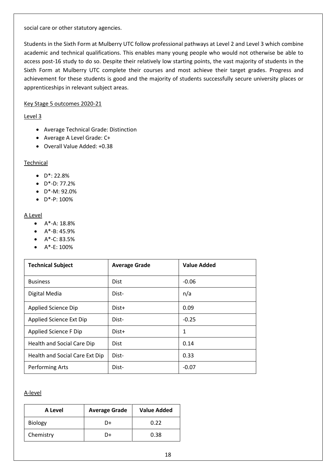social care or other statutory agencies.

Students in the Sixth Form at Mulberry UTC follow professional pathways at Level 2 and Level 3 which combine academic and technical qualifications. This enables many young people who would not otherwise be able to access post-16 study to do so. Despite their relatively low starting points, the vast majority of students in the Sixth Form at Mulberry UTC complete their courses and most achieve their target grades. Progress and achievement for these students is good and the majority of students successfully secure university places or apprenticeships in relevant subject areas.

### Key Stage 5 outcomes 2020-21

### Level 3

- Average Technical Grade: Distinction
- Average A Level Grade: C+
- Overall Value Added: +0.38

### **Technical**

- D\*: 22.8%
- $\bullet$  D<sup>\*</sup>-D: 77.2%
- D\*-M: 92.0%
- $\bullet$  D<sup>\*</sup>-P: 100%

### A Level

- $A^* A: 18.8%$
- $\bullet$  A\*-B: 45.9%
- $A^*$ -C: 83.5%
- $\bullet$  A\*-E: 100%

| <b>Technical Subject</b>       | <b>Average Grade</b> | <b>Value Added</b> |
|--------------------------------|----------------------|--------------------|
| <b>Business</b>                | Dist                 | $-0.06$            |
| Digital Media                  | Dist-                | n/a                |
| <b>Applied Science Dip</b>     | Dist+                | 0.09               |
| Applied Science Ext Dip        | Dist-                | $-0.25$            |
| Applied Science F Dip          | Dist+                | 1                  |
| Health and Social Care Dip     | <b>Dist</b>          | 0.14               |
| Health and Social Care Ext Dip | Dist-                | 0.33               |
| Performing Arts                | Dist-                | $-0.07$            |

### A-level

| A Level        | <b>Average Grade</b> | Value Added |
|----------------|----------------------|-------------|
| <b>Biology</b> | D+                   | 0.22        |
| Chemistry      | D+                   | 0.38        |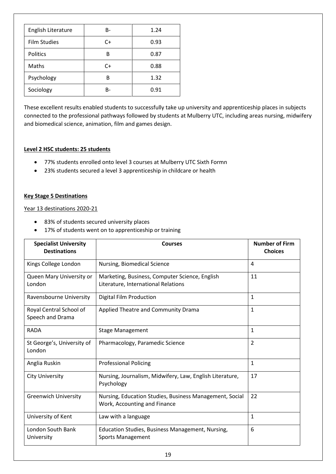| English Literature  | B-    | 1.24 |
|---------------------|-------|------|
| <b>Film Studies</b> | C+    | 0.93 |
| <b>Politics</b>     | B     | 0.87 |
| Maths               | C+    | 0.88 |
| Psychology          | B     | 1.32 |
| Sociology           | $B -$ | 0.91 |

These excellent results enabled students to successfully take up university and apprenticeship places in subjects connected to the professional pathways followed by students at Mulberry UTC, including areas nursing, midwifery and biomedical science, animation, film and games design.

### **Level 2 HSC students: 25 students**

- 77% students enrolled onto level 3 courses at Mulberry UTC Sixth Formn
- 23% students secured a level 3 apprenticeship in childcare or health

### **Key Stage 5 Destinations**

Year 13 destinations 2020-21

- 83% of students secured university places
- 17% of students went on to apprenticeship or training

| <b>Specialist University</b><br><b>Destinations</b> | <b>Courses</b>                                                                          | <b>Number of Firm</b><br><b>Choices</b> |
|-----------------------------------------------------|-----------------------------------------------------------------------------------------|-----------------------------------------|
| Kings College London                                | Nursing, Biomedical Science                                                             | 4                                       |
| Queen Mary University or<br>London                  | Marketing, Business, Computer Science, English<br>Literature, International Relations   | 11                                      |
| Ravensbourne University                             | Digital Film Production                                                                 | $\mathbf{1}$                            |
| Royal Central School of<br>Speech and Drama         | Applied Theatre and Community Drama                                                     | $\mathbf{1}$                            |
| <b>RADA</b>                                         | <b>Stage Management</b>                                                                 | $\mathbf{1}$                            |
| St George's, University of<br>London                | Pharmacology, Paramedic Science                                                         | $\overline{2}$                          |
| Anglia Ruskin                                       | <b>Professional Policing</b>                                                            | $\mathbf{1}$                            |
| <b>City University</b>                              | Nursing, Journalism, Midwifery, Law, English Literature,<br>Psychology                  | 17                                      |
| <b>Greenwich University</b>                         | Nursing, Education Studies, Business Management, Social<br>Work, Accounting and Finance | 22                                      |
| University of Kent                                  | Law with a language                                                                     | 1                                       |
| London South Bank<br>University                     | Education Studies, Business Management, Nursing,<br><b>Sports Management</b>            | 6                                       |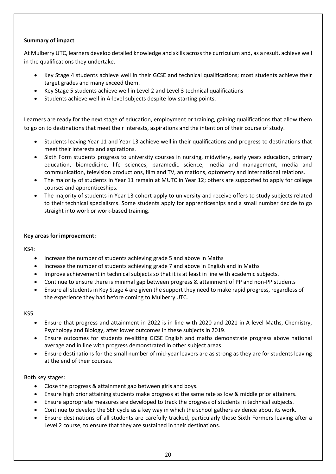# **Summary of impact**

At Mulberry UTC, learners develop detailed knowledge and skills across the curriculum and, as a result, achieve well in the qualifications they undertake.

- Key Stage 4 students achieve well in their GCSE and technical qualifications; most students achieve their target grades and many exceed them.
- Key Stage 5 students achieve well in Level 2 and Level 3 technical qualifications
- Students achieve well in A-level subjects despite low starting points.

Learners are ready for the next stage of education, employment or training, gaining qualifications that allow them to go on to destinations that meet their interests, aspirations and the intention of their course of study.

- Students leaving Year 11 and Year 13 achieve well in their qualifications and progress to destinations that meet their interests and aspirations.
- Sixth Form students progress to university courses in nursing, midwifery, early years education, primary education, biomedicine, life sciences, paramedic science, media and management, media and communication, television productions, film and TV, animations, optometry and international relations.
- The majority of students in Year 11 remain at MUTC in Year 12; others are supported to apply for college courses and apprenticeships.
- The majority of students in Year 13 cohort apply to university and receive offers to study subjects related to their technical specialisms. Some students apply for apprenticeships and a small number decide to go straight into work or work-based training.

#### **Key areas for improvement:**

KS4:

- Increase the number of students achieving grade 5 and above in Maths
- Increase the number of students achieving grade 7 and above in English and in Maths
- Improve achievement in technical subjects so that it is at least in line with academic subjects.
- Continue to ensure there is minimal gap between progress & attainment of PP and non-PP students
- Ensure all students in Key Stage 4 are given the support they need to make rapid progress, regardless of the experience they had before coming to Mulberry UTC.

#### KS5

- Ensure that progress and attainment in 2022 is in line with 2020 and 2021 in A-level Maths, Chemistry, Psychology and Biology, after lower outcomes in these subjects in 2019.
- Ensure outcomes for students re-sitting GCSE English and maths demonstrate progress above national average and in line with progress demonstrated in other subject areas
- Ensure destinations for the small number of mid-year leavers are as strong as they are for students leaving at the end of their courses.

### Both key stages:

- Close the progress & attainment gap between girls and boys.
- Ensure high prior attaining students make progress at the same rate as low & middle prior attainers.
- Ensure appropriate measures are developed to track the progress of students in technical subjects.
- Continue to develop the SEF cycle as a key way in which the school gathers evidence about its work.
- Ensure destinations of all students are carefully tracked, particularly those Sixth Formers leaving after a Level 2 course, to ensure that they are sustained in their destinations.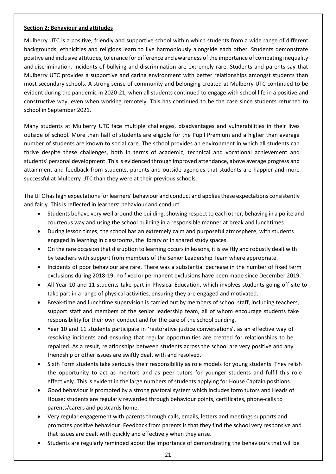### **Section 2: Behaviour and attitudes**

Mulberry UTC is a positive, friendly and supportive school within which students from a wide range of different backgrounds, ethnicities and religions learn to live harmoniously alongside each other. Students demonstrate positive and inclusive attitudes, tolerance for difference and awareness of the importance of combating inequality and discrimination. Incidents of bullying and discrimination are extremely rare. Students and parents say that Mulberry UTC provides a supportive and caring environment with better relationships amongst students than most secondary schools. A strong sense of community and belonging created at Mulberry UTC continued to be evident during the pandemic in 2020-21, when all students continued to engage with school life in a positive and constructive way, even when working remotely. This has continued to be the case since students returned to school in September 2021.

Many students at Mulberry UTC face multiple challenges, disadvantages and vulnerabilities in their lives outside of school. More than half of students are eligible for the Pupil Premium and a higher than average number of students are known to social care. The school provides an environment in which all students can thrive despite these challenges, both in terms of academic, technical and vocational achievement and students' personal development. This is evidenced through improved attendance, above average progress and attainment and feedback from students, parents and outside agencies that students are happier and more successful at Mulberry UTC than they were at their previous schools.

The UTC has high expectations for learners' behaviour and conduct and applies these expectations consistently and fairly. This is reflected in learners' behaviour and conduct.

- Students behave very well around the building, showing respect to each other, behaving in a polite and courteous way and using the school building in a responsible manner at break and lunchtimes.
- During lesson times, the school has an extremely calm and purposeful atmosphere, with students engaged in learning in classrooms, the library or in shared study spaces.
- On the rare occasion that disruption to learning occurs in lessons, it is swiftly and robustly dealt with by teachers with support from members of the Senior Leadership Team where appropriate.
- Incidents of poor behaviour are rare. There was a substantial decrease in the number of fixed term exclusions during 2018-19; no fixed or permanent exclusions have been made since December 2019.
- All Year 10 and 11 students take part in Physical Education, which involves students going off-site to take part in a range of physical activities, ensuring they are engaged and motivated.
- Break-time and lunchtime supervision is carried out by members of school staff, including teachers, support staff and members of the senior leadership team, all of whom encourage students take responsibility for their own conduct and for the care of the school building.
- Year 10 and 11 students participate in 'restorative justice conversations', as an effective way of resolving incidents and ensuring that regular opportunities are created for relationships to be repaired. As a result, relationships between students across the school are very positive and any friendship or other issues are swiftly dealt with and resolved.
- Sixth Form students take seriously their responsibility as role models for young students. They relish the opportunity to act as mentors and as peer tutors for younger students and fulfil this role effectively. This is evident in the large numbers of students applying for House Captain positions.
- Good behaviour is promoted by a strong pastoral system which includes form tutors and Heads of House; students are regularly rewarded through behaviour points, certificates, phone-calls to parents/carers and postcards home.
- Very regular engagement with parents through calls, emails, letters and meetings supports and promotes positive behaviour. Feedback from parents is that they find the school very responsive and that issues are dealt with quickly and effectively when they arise.
- Students are regularly reminded about the importance of demonstrating the behaviours that will be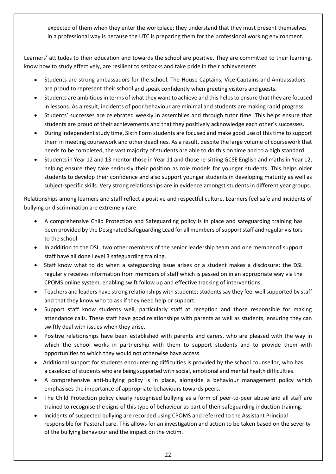expected of them when they enter the workplace; they understand that they must present themselves in a professional way is because the UTC is preparing them for the professional working environment.

Learners' attitudes to their education and towards the school are positive. They are committed to their learning, know how to study effectively, are resilient to setbacks and take pride in their achievements

- Students are strong ambassadors for the school. The House Captains, Vice Captains and Ambassadors are proud to represent their school and speak confidently when greeting visitors and guests.
- Students are ambitious in terms of what they want to achieve and this helps to ensure that they are focused in lessons. As a result, incidents of poor behaviour are minimal and students are making rapid progress.
- Students' successes are celebrated weekly in assemblies and through tutor time. This helps ensure that students are proud of their achievements and that they positively acknowledge each other's successes.
- During independent study time, Sixth Form students are focused and make good use of this time to support them in meeting coursework and other deadlines. As a result, despite the large volume of coursework that needs to be completed, the vast majority of students are able to do this on time and to a high standard.
- Students in Year 12 and 13 mentor those in Year 11 and those re-sitting GCSE English and maths in Year 12, helping ensure they take seriously their position as role models for younger students. This helps older students to develop their confidence and also support younger students in developing maturity as well as subject-specific skills. Very strong relationships are in evidence amongst students in different year groups.

Relationships among learners and staff reflect a positive and respectful culture. Learners feel safe and incidents of bullying or discrimination are extremely rare.

- A comprehensive Child Protection and Safeguarding policy is in place and safeguarding training has been provided by the Designated Safeguarding Lead for all members of support staff and regular visitors to the school.
- In addition to the DSL, two other members of the senior leadership team and one member of support staff have all done Level 3 safeguarding training.
- Staff know what to do when a safeguarding issue arises or a student makes a disclosure; the DSL regularly receives information from members of staff which is passed on in an appropriate way via the CPOMS online system, enabling swift follow up and effective tracking of interventions.
- Teachers and leaders have strong relationships with students; students say they feel well supported by staff and that they know who to ask if they need help or support.
- Support staff know students well, particularly staff at reception and those responsible for making attendance calls. These staff have good relationships with parents as well as students, ensuring they can swiftly deal with issues when they arise.
- Positive relationships have been established with parents and carers, who are pleased with the way in which the school works in partnership with them to support students and to provide them with opportunities to which they would not otherwise have access.
- Additional support for students encountering difficulties is provided by the school counsellor, who has a caseload of students who are being supported with social, emotional and mental health difficulties.
- A comprehensive anti-bullying policy is in place, alongside a behaviour management policy which emphasises the importance of appropriate behaviours towards peers.
- The Child Protection policy clearly recognised bullying as a form of peer-to-peer abuse and all staff are trained to recognise the signs of this type of behaviour as part of their safeguarding induction training.
- Incidents of suspected bullying are recorded using CPOMS and referred to the Assistant Principal responsible for Pastoral care. This allows for an investigation and action to be taken based on the severity of the bullying behaviour and the impact on the victim.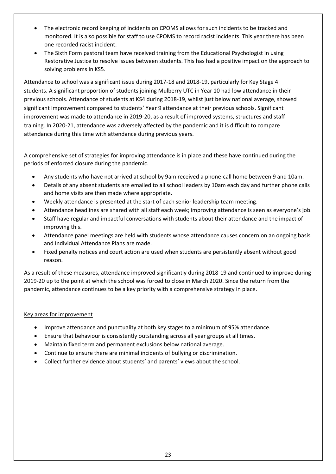- The electronic record keeping of incidents on CPOMS allows for such incidents to be tracked and monitored. It is also possible for staff to use CPOMS to record racist incidents. This year there has been one recorded racist incident.
- The Sixth Form pastoral team have received training from the Educational Psychologist in using Restorative Justice to resolve issues between students. This has had a positive impact on the approach to solving problems in KS5.

Attendance to school was a significant issue during 2017-18 and 2018-19, particularly for Key Stage 4 students. A significant proportion of students joining Mulberry UTC in Year 10 had low attendance in their previous schools. Attendance of students at KS4 during 2018-19, whilst just below national average, showed significant improvement compared to students' Year 9 attendance at their previous schools. Significant improvement was made to attendance in 2019-20, as a result of improved systems, structures and staff training. In 2020-21, attendance was adversely affected by the pandemic and it is difficult to compare attendance during this time with attendance during previous years.

A comprehensive set of strategies for improving attendance is in place and these have continued during the periods of enforced closure during the pandemic.

- Any students who have not arrived at school by 9am received a phone-call home between 9 and 10am.
- Details of any absent students are emailed to all school leaders by 10am each day and further phone calls and home visits are then made where appropriate.
- Weekly attendance is presented at the start of each senior leadership team meeting.
- Attendance headlines are shared with all staff each week; improving attendance is seen as everyone's job.
- Staff have regular and impactful conversations with students about their attendance and the impact of improving this.
- Attendance panel meetings are held with students whose attendance causes concern on an ongoing basis and Individual Attendance Plans are made.
- Fixed penalty notices and court action are used when students are persistently absent without good reason.

As a result of these measures, attendance improved significantly during 2018-19 and continued to improve during 2019-20 up to the point at which the school was forced to close in March 2020. Since the return from the pandemic, attendance continues to be a key priority with a comprehensive strategy in place.

### Key areas for improvement

- Improve attendance and punctuality at both key stages to a minimum of 95% attendance.
- Ensure that behaviour is consistently outstanding across all year groups at all times.
- Maintain fixed term and permanent exclusions below national average.
- Continue to ensure there are minimal incidents of bullying or discrimination.
- Collect further evidence about students' and parents' views about the school.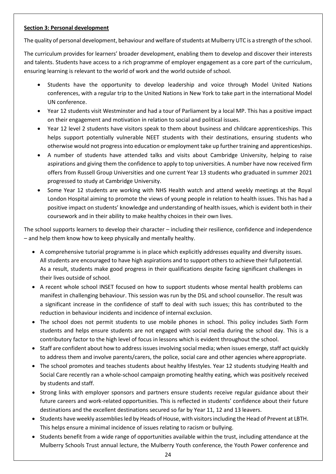## **Section 3: Personal development**

The quality of personal development, behaviour and welfare of students at Mulberry UTC is a strength of the school.

The curriculum provides for learners' broader development, enabling them to develop and discover their interests and talents. Students have access to a rich programme of employer engagement as a core part of the curriculum, ensuring learning is relevant to the world of work and the world outside of school.

- Students have the opportunity to develop leadership and voice through Model United Nations conferences, with a regular trip to the United Nations in New York to take part in the international Model UN conference.
- Year 12 students visit Westminster and had a tour of Parliament by a local MP. This has a positive impact on their engagement and motivation in relation to social and political issues.
- Year 12 level 2 students have visitors speak to them about business and childcare apprenticeships. This helps support potentially vulnerable NEET students with their destinations, ensuring students who otherwise would not progress into education or employment take up further training and apprenticeships.
- A number of students have attended talks and visits about Cambridge University, helping to raise aspirations and giving them the confidence to apply to top universities. A number have now received firm offers from Russell Group Universities and one current Year 13 students who graduated in summer 2021 progressed to study at Cambridge University.
- Some Year 12 students are working with NHS Health watch and attend weekly meetings at the Royal London Hospital aiming to promote the views of young people in relation to health issues. This has had a positive impact on students' knowledge and understanding of health issues, which is evident both in their coursework and in their ability to make healthy choices in their own lives.

The school supports learners to develop their character – including their resilience, confidence and independence – and help them know how to keep physically and mentally healthy.

- A comprehensive tutorial programme is in place which explicitly addresses equality and diversity issues. All students are encouraged to have high aspirations and to support others to achieve their fullpotential. As a result, students make good progress in their qualifications despite facing significant challenges in their lives outside of school.
- A recent whole school INSET focused on how to support students whose mental health problems can manifest in challenging behaviour. This session was run by the DSL and school counsellor. The result was a significant increase in the confidence of staff to deal with such issues; this has contributed to the reduction in behaviour incidents and incidence of internal exclusion.
- The school does not permit students to use mobile phones in school. This policy includes Sixth Form students and helps ensure students are not engaged with social media during the school day. This is a contributory factor to the high level of focus in lessons which is evident throughout the school.
- Staff are confident about how to address issues involving social media; when issues emerge, staff act quickly to address them and involve parents/carers, the police, social care and other agencies where appropriate.
- The school promotes and teaches students about healthy lifestyles. Year 12 students studying Health and Social Care recently ran a whole-school campaign promoting healthy eating, which was positively received by students and staff.
- Strong links with employer sponsors and partners ensure students receive regular guidance about their future careers and work-related opportunities. This is reflected in students' confidence about their future destinations and the excellent destinations secured so far by Year 11, 12 and 13 leavers.
- Students have weekly assemblies led by Heads of House, with visitors including the Head of Prevent at LBTH. This helps ensure a minimal incidence of issues relating to racism or bullying.
- Students benefit from a wide range of opportunities available within the trust, including attendance at the Mulberry Schools Trust annual lecture, the Mulberry Youth conference, the Youth Power conference and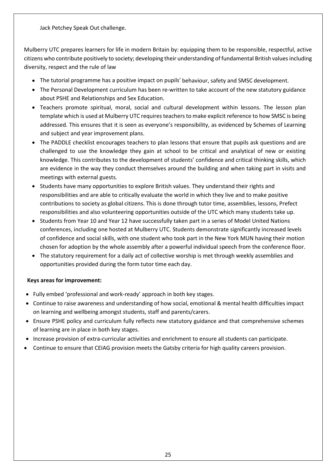Jack Petchey Speak Out challenge.

Mulberry UTC prepares learners for life in modern Britain by: equipping them to be responsible, respectful, active citizens who contribute positively to society; developing their understanding of fundamental British values including diversity, respect and the rule of law

- The tutorial programme has a positive impact on pupils' behaviour, safety and SMSC development.
- The Personal Development curriculum has been re-written to take account of the new statutory guidance about PSHE and Relationships and Sex Education.
- Teachers promote spiritual, moral, social and cultural development within lessons. The lesson plan template which is used at Mulberry UTC requires teachers to make explicit reference to how SMSC is being addressed. This ensures that it is seen as everyone's responsibility, as evidenced by Schemes of Learning and subject and year improvement plans.
- The PADDLE checklist encourages teachers to plan lessons that ensure that pupils ask questions and are challenged to use the knowledge they gain at school to be critical and analytical of new or existing knowledge. This contributes to the development of students' confidence and critical thinking skills, which are evidence in the way they conduct themselves around the building and when taking part in visits and meetings with external guests.
- Students have many opportunities to explore British values. They understand their rights and responsibilities and are able to critically evaluate the world in which they live and to make positive contributions to society as global citizens. This is done through tutor time, assemblies, lessons, Prefect responsibilities and also volunteering opportunities outside of the UTC which many students take up.
- Students from Year 10 and Year 12 have successfully taken part in a series of Model United Nations conferences, including one hosted at Mulberry UTC. Students demonstrate significantly increased levels of confidence and social skills, with one student who took part in the New York MUN having their motion chosen for adoption by the whole assembly after a powerful individual speech from the conference floor.
- The statutory requirement for a daily act of collective worship is met through weekly assemblies and opportunities provided during the form tutor time each day.

### **Keys areas for improvement:**

- Fully embed 'professional and work-ready' approach in both key stages.
- Continue to raise awareness and understanding of how social, emotional & mental health difficulties impact on learning and wellbeing amongst students, staff and parents/carers.
- Ensure PSHE policy and curriculum fully reflects new statutory guidance and that comprehensive schemes of learning are in place in both key stages.
- Increase provision of extra-curricular activities and enrichment to ensure all students can participate.
- Continue to ensure that CEIAG provision meets the Gatsby criteria for high quality careers provision.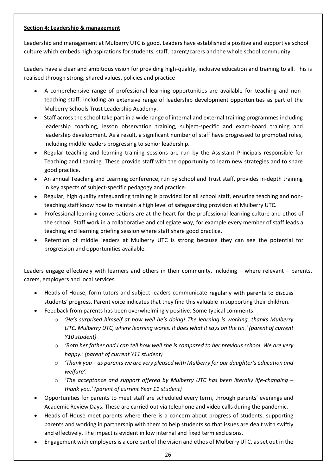# **Section 4: Leadership & management**

Leadership and management at Mulberry UTC is good. Leaders have established a positive and supportive school culture which embeds high aspirations for students, staff, parent/carers and the whole school community.

Leaders have a clear and ambitious vision for providing high-quality, inclusive education and training to all. This is realised through strong, shared values, policies and practice

- A comprehensive range of professional learning opportunities are available for teaching and nonteaching staff, including an extensive range of leadership development opportunities as part of the Mulberry Schools Trust Leadership Academy.
- Staff across the school take part in a wide range of internal and external training programmes including leadership coaching, lesson observation training, subject-specific and exam-board training and leadership development. As a result, a significant number of staff have progressed to promoted roles, including middle leaders progressing to senior leadership.
- Regular teaching and learning training sessions are run by the Assistant Principals responsible for Teaching and Learning. These provide staff with the opportunity to learn new strategies and to share good practice.
- An annual Teaching and Learning conference, run by school and Trust staff, provides in-depth training in key aspects of subject-specific pedagogy and practice.
- Regular, high quality safeguarding training is provided for all school staff, ensuring teaching and nonteaching staff know how to maintain a high level of safeguarding provision at Mulberry UTC.
- Professional learning conversations are at the heart for the professional learning culture and ethos of the school. Staff work in a collaborative and collegiate way, for example every member of staff leads a teaching and learning briefing session where staff share good practice.
- Retention of middle leaders at Mulberry UTC is strong because they can see the potential for progression and opportunities available.

Leaders engage effectively with learners and others in their community, including – where relevant – parents, carers, employers and local services

- Heads of House, form tutors and subject leaders communicate regularly with parents to discuss students' progress. Parent voice indicates that they find this valuable in supporting their children.
- Feedback from parents has been overwhelmingly positive. Some typical comments:
	- o *'He's surprised himself at how well he's doing! The learning is working, thanks Mulberry UTC. Mulberry UTC, where learning works. It does what it says on the tin.' (parent of current Y10 student)*
	- o *'Both her father and I can tell how well she is compared to her previous school. We are very happy.' (parent of current Y11 student)*
	- o *'Thank you – as parents we are very pleased with Mulberry for our daughter's education and welfare'.*
	- o *'The acceptance and support offered by Mulberry UTC has been literally life-changing – thank you.' (parent of current Year 11 student)*
- Opportunities for parents to meet staff are scheduled every term, through parents' evenings and Academic Review Days. These are carried out via telephone and video calls during the pandemic.
- Heads of House meet parents where there is a concern about progress of students, supporting parents and working in partnership with them to help students so that issues are dealt with swiftly and effectively. The impact is evident in low internal and fixed term exclusions.
- Engagement with employers is a core part of the vision and ethos of Mulberry UTC, as set out in the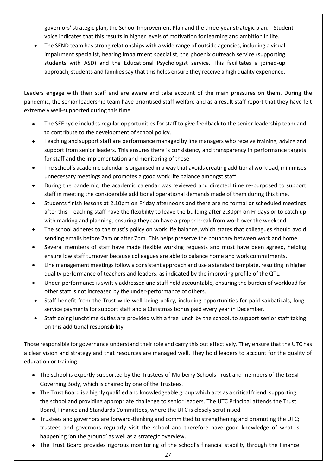governors' strategic plan, the School Improvement Plan and the three-year strategic plan. Student voice indicates that this results in higher levels of motivation for learning and ambition in life.

 The SEND team has strong relationships with a wide range of outside agencies, including a visual impairment specialist, hearing impairment specialist, the phoenix outreach service (supporting students with ASD) and the Educational Psychologist service. This facilitates a joined-up approach; students and families say that this helps ensure they receive a high quality experience.

Leaders engage with their staff and are aware and take account of the main pressures on them. During the pandemic, the senior leadership team have prioritised staff welfare and as a result staff report that they have felt extremely well-supported during this time.

- The SEF cycle includes regular opportunities for staff to give feedback to the senior leadership team and to contribute to the development of school policy.
- Teaching and support staff are performance managed by line managers who receive training, advice and support from senior leaders. This ensures there is consistency and transparency in performance targets for staff and the implementation and monitoring of these.
- The school's academic calendar is organised in a way that avoids creating additional workload, minimises unnecessary meetings and promotes a good work life balance amongst staff.
- During the pandemic, the academic calendar was reviewed and directed time re-purposed to support staff in meeting the considerable additional operational demands made of them during this time.
- Students finish lessons at 2.10pm on Friday afternoons and there are no formal or scheduled meetings after this. Teaching staff have the flexibility to leave the building after 2.30pm on Fridays or to catch up with marking and planning, ensuring they can have a proper break from work over the weekend.
- The school adheres to the trust's policy on work life balance, which states that colleagues should avoid sending emails before 7am or after 7pm. This helps preserve the boundary between work and home.
- Several members of staff have made flexible working requests and most have been agreed, helping ensure low staff turnover because colleagues are able to balance home and work commitments.
- Line management meetings follow a consistent approach and use a standard template, resulting in higher quality performance of teachers and leaders, as indicated by the improving profile of the QTL.
- Under-performance is swiftly addressed and staff held accountable, ensuring the burden of workload for other staff is not increased by the under-performance of others.
- Staff benefit from the Trust-wide well-being policy, including opportunities for paid sabbaticals, longservice payments for support staff and a Christmas bonus paid every year in December.
- Staff doing lunchtime duties are provided with a free lunch by the school, to support senior staff taking on this additional responsibility.

Those responsible for governance understand their role and carry this out effectively. They ensure that the UTC has a clear vision and strategy and that resources are managed well. They hold leaders to account for the quality of education or training

- The school is expertly supported by the Trustees of Mulberry Schools Trust and members of the Local Governing Body, which is chaired by one of the Trustees.
- The Trust Board is a highly qualified and knowledgeable group which acts as a critical friend, supporting the school and providing appropriate challenge to senior leaders. The UTC Principal attends the Trust Board, Finance and Standards Committees, where the UTC is closely scrutinised.
- Trustees and governors are forward-thinking and committed to strengthening and promoting the UTC; trustees and governors regularly visit the school and therefore have good knowledge of what is happening 'on the ground' as well as a strategic overview.
- The Trust Board provides rigorous monitoring of the school's financial stability through the Finance